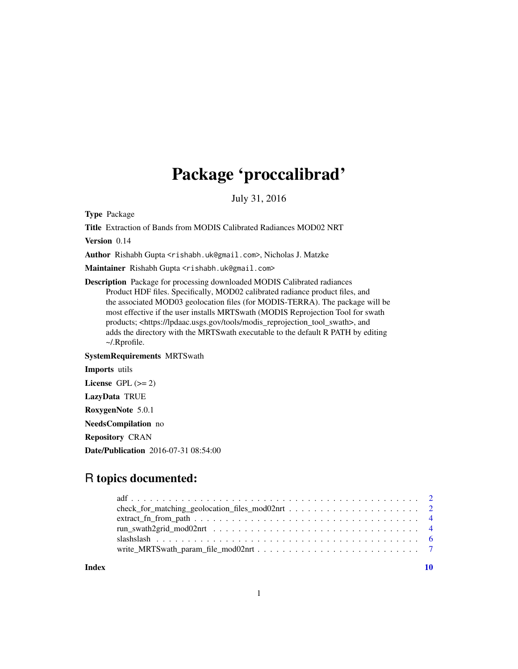# Package 'proccalibrad'

July 31, 2016

Type Package

Title Extraction of Bands from MODIS Calibrated Radiances MOD02 NRT

Version 0.14

Author Rishabh Gupta <rishabh.uk@gmail.com>, Nicholas J. Matzke

Maintainer Rishabh Gupta <rishabh.uk@gmail.com>

Description Package for processing downloaded MODIS Calibrated radiances Product HDF files. Specifically, MOD02 calibrated radiance product files, and the associated MOD03 geolocation files (for MODIS-TERRA). The package will be most effective if the user installs MRTSwath (MODIS Reprojection Tool for swath products; <https://lpdaac.usgs.gov/tools/modis\_reprojection\_tool\_swath>, and adds the directory with the MRTSwath executable to the default R PATH by editing ~/.Rprofile.

SystemRequirements MRTSwath

Imports utils License GPL  $(>= 2)$ LazyData TRUE RoxygenNote 5.0.1 NeedsCompilation no Repository CRAN

Date/Publication 2016-07-31 08:54:00

# R topics documented:

| $extract_fn_from_path \n\ldots \n\ldots \n\ldots \ldots \ldots \ldots \ldots \ldots \ldots \ldots \ldots \ldots \ldots$ |  |
|-------------------------------------------------------------------------------------------------------------------------|--|
|                                                                                                                         |  |
|                                                                                                                         |  |
|                                                                                                                         |  |
|                                                                                                                         |  |

 $\blacksquare$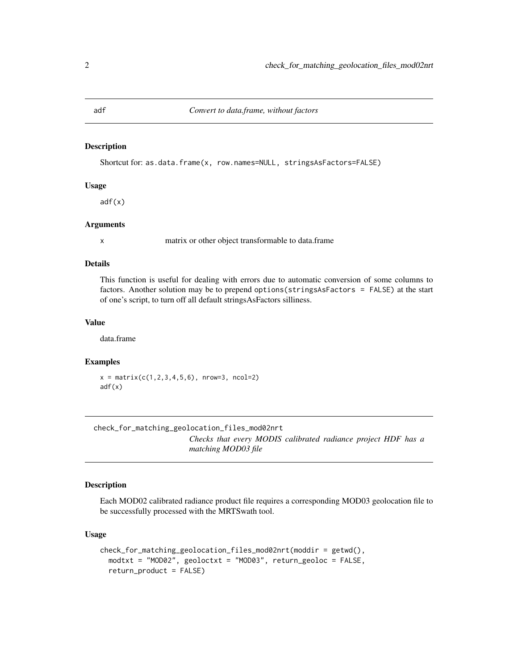<span id="page-1-0"></span>

#### Description

Shortcut for: as.data.frame(x, row.names=NULL, stringsAsFactors=FALSE)

# Usage

adf(x)

#### Arguments

x matrix or other object transformable to data.frame

#### Details

This function is useful for dealing with errors due to automatic conversion of some columns to factors. Another solution may be to prepend options(stringsAsFactors = FALSE) at the start of one's script, to turn off all default stringsAsFactors silliness.

#### Value

data.frame

# Examples

 $x = matrix(c(1, 2, 3, 4, 5, 6), nrow=3, ncol=2)$ adf(x)

check\_for\_matching\_geolocation\_files\_mod02nrt *Checks that every MODIS calibrated radiance project HDF has a matching MOD03 file*

#### Description

Each MOD02 calibrated radiance product file requires a corresponding MOD03 geolocation file to be successfully processed with the MRTSwath tool.

#### Usage

```
check_for_matching_geolocation_files_mod02nrt(moddir = getwd(),
 modtxt = "MOD02", geoloctxt = "MOD03", return_geoloc = FALSE,
  return_product = FALSE)
```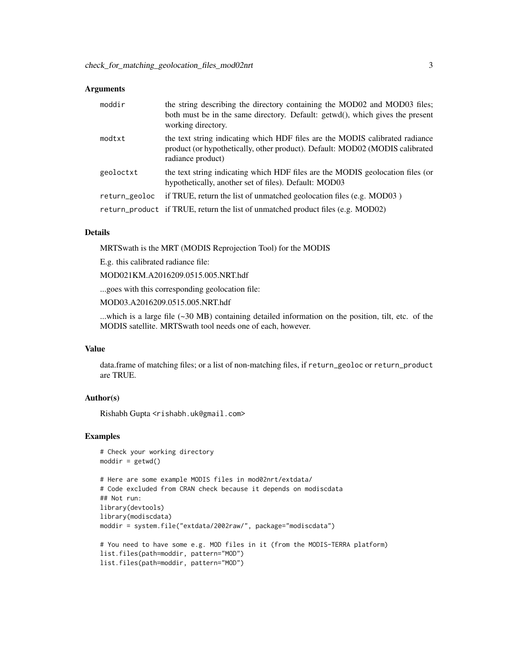#### **Arguments**

| moddir        | the string describing the directory containing the MOD02 and MOD03 files;<br>both must be in the same directory. Default: getwd(), which gives the present<br>working directory.  |
|---------------|-----------------------------------------------------------------------------------------------------------------------------------------------------------------------------------|
| modtxt        | the text string indicating which HDF files are the MODIS calibrated radiance<br>product (or hypothetically, other product). Default: MOD02 (MODIS calibrated<br>radiance product) |
| geoloctxt     | the text string indicating which HDF files are the MODIS geolocation files (or<br>hypothetically, another set of files). Default: MOD03                                           |
| return_geoloc | if TRUE, return the list of unmatched geolocation files (e.g. MOD03)                                                                                                              |
|               | return_product if TRUE, return the list of unmatched product files (e.g. MOD02)                                                                                                   |

#### Details

MRTSwath is the MRT (MODIS Reprojection Tool) for the MODIS

E.g. this calibrated radiance file:

MOD021KM.A2016209.0515.005.NRT.hdf

...goes with this corresponding geolocation file:

MOD03.A2016209.0515.005.NRT.hdf

...which is a large file (~30 MB) containing detailed information on the position, tilt, etc. of the MODIS satellite. MRTSwath tool needs one of each, however.

# Value

data.frame of matching files; or a list of non-matching files, if return\_geoloc or return\_product are TRUE.

#### Author(s)

Rishabh Gupta <rishabh.uk@gmail.com>

#### Examples

```
# Check your working directory
modelir = getwd()
```

```
# Here are some example MODIS files in mod02nrt/extdata/
# Code excluded from CRAN check because it depends on modiscdata
## Not run:
library(devtools)
library(modiscdata)
moddir = system.file("extdata/2002raw/", package="modiscdata")
# You need to have some e.g. MOD files in it (from the MODIS-TERRA platform)
list.files(path=moddir, pattern="MOD")
```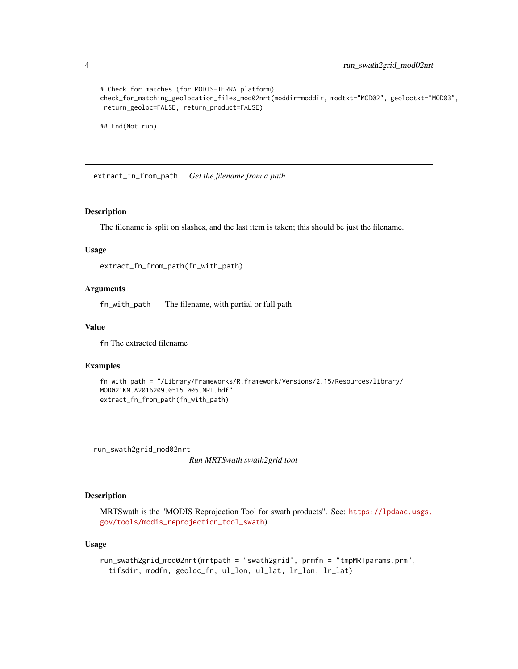```
# Check for matches (for MODIS-TERRA platform)
check_for_matching_geolocation_files_mod02nrt(moddir=moddir, modtxt="MOD02", geoloctxt="MOD03",
return_geoloc=FALSE, return_product=FALSE)
```
## End(Not run)

extract\_fn\_from\_path *Get the filename from a path*

#### Description

The filename is split on slashes, and the last item is taken; this should be just the filename.

#### Usage

```
extract_fn_from_path(fn_with_path)
```
#### Arguments

fn\_with\_path The filename, with partial or full path

#### Value

fn The extracted filename

#### Examples

```
fn_with_path = "/Library/Frameworks/R.framework/Versions/2.15/Resources/library/
MOD021KM.A2016209.0515.005.NRT.hdf"
extract_fn_from_path(fn_with_path)
```
<span id="page-3-1"></span>run\_swath2grid\_mod02nrt

*Run MRTSwath swath2grid tool*

#### Description

MRTSwath is the "MODIS Reprojection Tool for swath products". See: [https://lpdaac.usgs.](https://lpdaac.usgs.gov/tools/modis_reprojection_tool_swath) [gov/tools/modis\\_reprojection\\_tool\\_swath](https://lpdaac.usgs.gov/tools/modis_reprojection_tool_swath)).

#### Usage

```
run_swath2grid_mod02nrt(mrtpath = "swath2grid", prmfn = "tmpMRTparams.prm",
  tifsdir, modfn, geoloc_fn, ul_lon, ul_lat, lr_lon, lr_lat)
```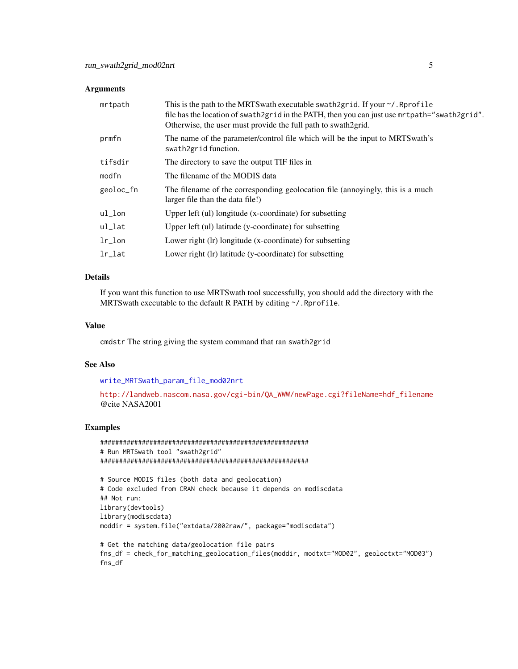#### <span id="page-4-0"></span>**Arguments**

| mrtpath    | This is the path to the MRTS wath executable swath 2grid. If your $\gamma$ . Reprofile<br>file has the location of swath2grid in the PATH, then you can just use mrtpath="swath2grid".<br>Otherwise, the user must provide the full path to swath2grid. |
|------------|---------------------------------------------------------------------------------------------------------------------------------------------------------------------------------------------------------------------------------------------------------|
| prmfn      | The name of the parameter/control file which will be the input to MRTS wath's<br>swath2grid function.                                                                                                                                                   |
| tifsdir    | The directory to save the output TIF files in                                                                                                                                                                                                           |
| modfn      | The filename of the MODIS data                                                                                                                                                                                                                          |
| geoloc_fn  | The filename of the corresponding geolocation file (annoyingly, this is a much<br>larger file than the data file!)                                                                                                                                      |
| ul_lon     | Upper left (ul) longitude (x-coordinate) for subsetting                                                                                                                                                                                                 |
| ul_lat     | Upper left (ul) latitude (y-coordinate) for subsetting                                                                                                                                                                                                  |
| $1r\_lon$  | Lower right (lr) longitude (x-coordinate) for subsetting                                                                                                                                                                                                |
| $1r$ $1at$ | Lower right (lr) latitude (y-coordinate) for subsetting                                                                                                                                                                                                 |

## Details

If you want this function to use MRTSwath tool successfully, you should add the directory with the MRTS wath executable to the default R PATH by editing  $\gamma$ . Rprofile.

#### Value

cmdstr The string giving the system command that ran swath2grid

#### See Also

[write\\_MRTSwath\\_param\\_file\\_mod02nrt](#page-6-1)

```
http://landweb.nascom.nasa.gov/cgi-bin/QA_WWW/newPage.cgi?fileName=hdf_filename
@cite NASA2001
```
# Examples

```
#######################################################
# Run MRTSwath tool "swath2grid"
#######################################################
```

```
# Source MODIS files (both data and geolocation)
# Code excluded from CRAN check because it depends on modiscdata
## Not run:
library(devtools)
library(modiscdata)
moddir = system.file("extdata/2002raw/", package="modiscdata")
```

```
# Get the matching data/geolocation file pairs
fns_df = check_for_matching_geolocation_files(moddir, modtxt="MOD02", geoloctxt="MOD03")
fns_df
```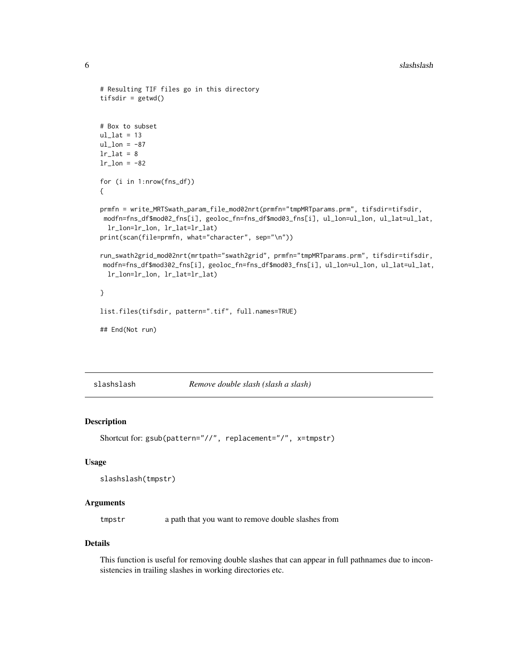```
# Resulting TIF files go in this directory
tifsdir = getwd()
# Box to subset
ul_lat = 13ul\_lon = -87lr\_lat = 8lr\_lon = -82for (i in 1:nrow(fns_df))
{
prmfn = write_MRTSwath_param_file_mod02nrt(prmfn="tmpMRTparams.prm", tifsdir=tifsdir,
modfn=fns_df$mod02_fns[i], geoloc_fn=fns_df$mod03_fns[i], ul_lon=ul_lon, ul_lat=ul_lat,
  lr_lon=lr_lon, lr_lat=lr_lat)
print(scan(file=prmfn, what="character", sep="\n"))
run_swath2grid_mod02nrt(mrtpath="swath2grid", prmfn="tmpMRTparams.prm", tifsdir=tifsdir,
modfn=fns_df$mod302_fns[i], geoloc_fn=fns_df$mod03_fns[i], ul_lon=ul_lon, ul_lat=ul_lat,
  lr_lon=lr_lon, lr_lat=lr_lat)
}
list.files(tifsdir, pattern=".tif", full.names=TRUE)
```
## End(Not run)

slashslash *Remove double slash (slash a slash)*

#### Description

```
Shortcut for: gsub(pattern="//", replacement="/", x=tmpstr)
```
#### Usage

```
slashslash(tmpstr)
```
#### Arguments

tmpstr a path that you want to remove double slashes from

#### Details

This function is useful for removing double slashes that can appear in full pathnames due to inconsistencies in trailing slashes in working directories etc.

<span id="page-5-0"></span>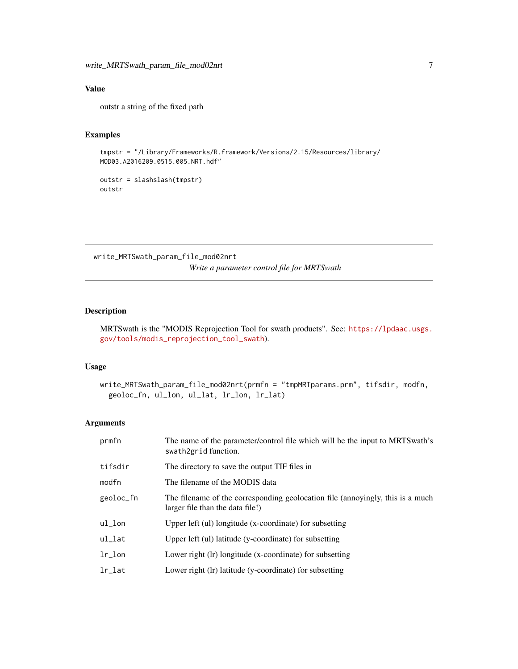# <span id="page-6-0"></span>Value

outstr a string of the fixed path

# Examples

```
tmpstr = "/Library/Frameworks/R.framework/Versions/2.15/Resources/library/
MOD03.A2016209.0515.005.NRT.hdf"
```
outstr = slashslash(tmpstr) outstr

<span id="page-6-1"></span>write\_MRTSwath\_param\_file\_mod02nrt *Write a parameter control file for MRTSwath*

# Description

MRTSwath is the "MODIS Reprojection Tool for swath products". See: [https://lpdaac.usgs.](https://lpdaac.usgs.gov/tools/modis_reprojection_tool_swath) [gov/tools/modis\\_reprojection\\_tool\\_swath](https://lpdaac.usgs.gov/tools/modis_reprojection_tool_swath)).

#### Usage

```
write_MRTSwath_param_file_mod02nrt(prmfn = "tmpMRTparams.prm", tifsdir, modfn,
 geoloc_fn, ul_lon, ul_lat, lr_lon, lr_lat)
```
#### Arguments

| prmfn                 | The name of the parameter/control file which will be the input to MRTS wath's<br>swath2grid function.              |
|-----------------------|--------------------------------------------------------------------------------------------------------------------|
| tifsdir               | The directory to save the output TIF files in                                                                      |
| modfn                 | The filename of the MODIS data                                                                                     |
| geoloc_fn             | The filename of the corresponding geolocation file (annoyingly, this is a much<br>larger file than the data file!) |
| ul_lon                | Upper left (ul) longitude (x-coordinate) for subsetting                                                            |
| $ul$ <sub>-</sub> lat | Upper left (ul) latitude (y-coordinate) for subsetting                                                             |
| $1r\_lon$             | Lower right (lr) longitude (x-coordinate) for subsetting                                                           |
| $lr$ $l$ at           | Lower right (lr) latitude (y-coordinate) for subsetting                                                            |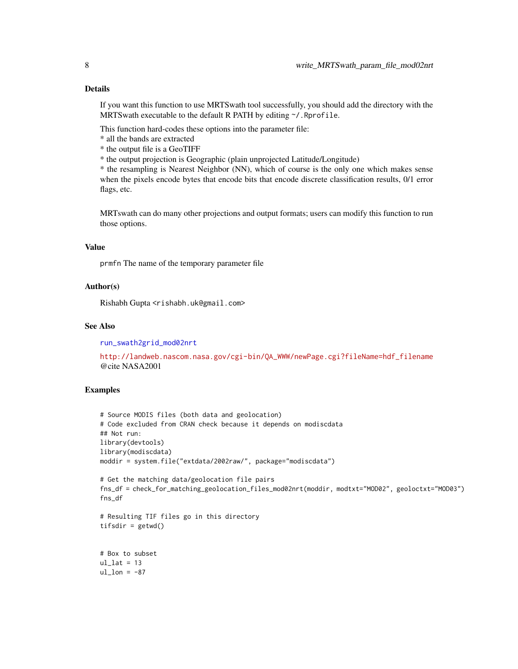If you want this function to use MRTSwath tool successfully, you should add the directory with the MRTS wath executable to the default R PATH by editing  $\gamma$ . Rprofile.

This function hard-codes these options into the parameter file:

- \* all the bands are extracted
- \* the output file is a GeoTIFF
- \* the output projection is Geographic (plain unprojected Latitude/Longitude)

\* the resampling is Nearest Neighbor (NN), which of course is the only one which makes sense when the pixels encode bytes that encode bits that encode discrete classification results, 0/1 error flags, etc.

MRTswath can do many other projections and output formats; users can modify this function to run those options.

#### Value

prmfn The name of the temporary parameter file

#### Author(s)

Rishabh Gupta <rishabh.uk@gmail.com>

## See Also

[run\\_swath2grid\\_mod02nrt](#page-3-1)

[http://landweb.nascom.nasa.gov/cgi-bin/QA\\_WWW/newPage.cgi?fileName=hdf\\_filename](http://landweb.nascom.nasa.gov/cgi-bin/QA_WWW/newPage.cgi?fileName=hdf_filename) @cite NASA2001

#### Examples

```
# Source MODIS files (both data and geolocation)
# Code excluded from CRAN check because it depends on modiscdata
## Not run:
library(devtools)
library(modiscdata)
moddir = system.file("extdata/2002raw/", package="modiscdata")
```

```
# Get the matching data/geolocation file pairs
fns_df = check_for_matching_geolocation_files_mod02nrt(moddir, modtxt="MOD02", geoloctxt="MOD03")
fns_df
```

```
# Resulting TIF files go in this directory
tifsdir = getwd()
```

```
# Box to subset
ul lat = 13ul\_lon = -87
```
<span id="page-7-0"></span>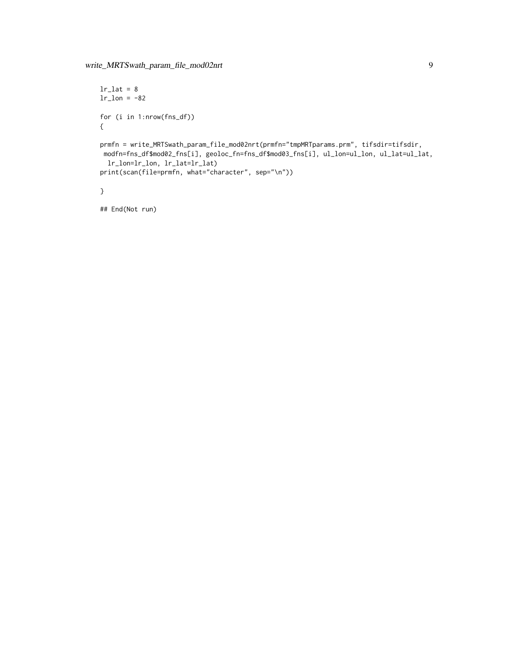```
lr\_lat = 8lr\_lon = -82for (i in 1:nrow(fns_df))
{
prmfn = write_MRTSwath_param_file_mod02nrt(prmfn="tmpMRTparams.prm", tifsdir=tifsdir,
modfn=fns_df$mod02_fns[i], geoloc_fn=fns_df$mod03_fns[i], ul_lon=ul_lon, ul_lat=ul_lat,
 lr_lon=lr_lon, lr_lat=lr_lat)
print(scan(file=prmfn, what="character", sep="\n"))
}
```
## End(Not run)